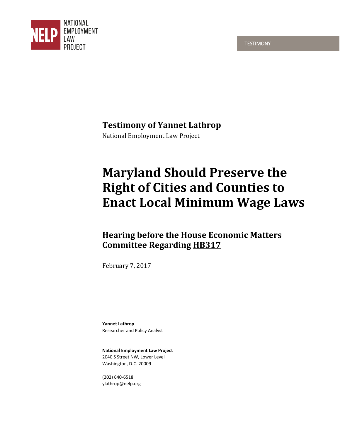**TESTIMONY** 



# **Testimony of Yannet Lathrop**

National Employment Law Project

# **Maryland Should Preserve the Right of Cities and Counties to Enact Local Minimum Wage Laws**

# **Hearing before the House Economic Matters Committee Regarding HB317**

February 7, 2017

**Yannet Lathrop** Researcher and Policy Analyst

**National Employment Law Project** 2040 S Street NW, Lower Level Washington, D.C. 20009

(202) 640-6518 ylathrop@nelp.org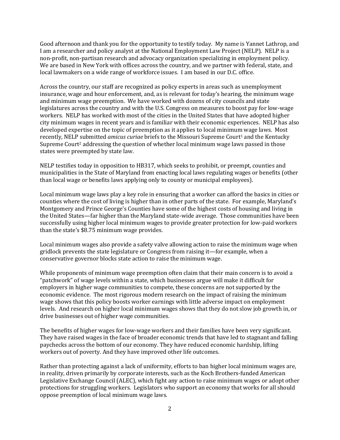Good afternoon and thank you for the opportunity to testify today. My name is Yannet Lathrop, and I am a researcher and policy analyst at the National Employment Law Project (NELP). NELP is a non-profit, non-partisan research and advocacy organization specializing in employment policy. We are based in New York with offices across the country, and we partner with federal, state, and local lawmakers on a wide range of workforce issues. I am based in our D.C. office.

Across the country, our staff are recognized as policy experts in areas such as unemployment insurance, wage and hour enforcement, and, as is relevant for today's hearing, the minimum wage and minimum wage preemption. We have worked with dozens of city councils and state legislatures across the country and with the U.S. Congress on measures to boost pay for low-wage workers. NELP has worked with most of the cities in the United States that have adopted higher city minimum wages in recent years and is familiar with their economic experiences. NELP has also developed expertise on the topic of preemption as it applies to local minimum wage laws. Most recently, NELP submitted *amicus curiae* briefs to the Missouri Supreme Court<sup>1</sup> and the Kentucky Supreme Court<sup>2</sup> addressing the question of whether local minimum wage laws passed in those states were preempted by state law.

NELP testifies today in opposition to HB317, which seeks to prohibit, or preempt, counties and municipalities in the State of Maryland from enacting local laws regulating wages or benefits (other than local wage or benefits laws applying only to county or municipal employees).

Local minimum wage laws play a key role in ensuring that a worker can afford the basics in cities or counties where the cost of living is higher than in other parts of the state. For example, Maryland's Montgomery and Prince George's Counties have some of the highest costs of housing and living in the United States—far higher than the Maryland state-wide average. Those communities have been successfully using higher local minimum wages to provide greater protection for low-paid workers than the state's \$8.75 minimum wage provides.

Local minimum wages also provide a safety valve allowing action to raise the minimum wage when gridlock prevents the state legislature or Congress from raising it—for example, when a conservative governor blocks state action to raise the minimum wage.

While proponents of minimum wage preemption often claim that their main concern is to avoid a "patchwork" of wage levels within a state, which businesses argue will make it difficult for employers in higher wage communities to compete, these concerns are not supported by the economic evidence. The most rigorous modern research on the impact of raising the minimum wage shows that this policy boosts worker earnings with little adverse impact on employment levels. And research on higher local minimum wages shows that they do not slow job growth in, or drive businesses out of higher wage communities.

The benefits of higher wages for low-wage workers and their families have been very significant. They have raised wages in the face of broader economic trends that have led to stagnant and falling paychecks across the bottom of our economy. They have reduced economic hardship, lifting workers out of poverty. And they have improved other life outcomes.

Rather than protecting against a lack of uniformity, efforts to ban higher local minimum wages are, in reality, driven primarily by corporate interests, such as the Koch Brothers-funded American Legislative Exchange Council (ALEC), which fight any action to raise minimum wages or adopt other protections for struggling workers. Legislators who support an economy that works for all should oppose preemption of local minimum wage laws.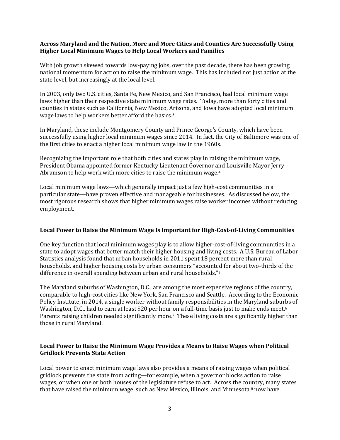#### **Across Maryland and the Nation, More and More Cities and Counties Are Successfully Using Higher Local Minimum Wages to Help Local Workers and Families**

With job growth skewed towards low-paying jobs, over the past decade, there has been growing national momentum for action to raise the minimum wage. This has included not just action at the state level, but increasingly at the local level.

In 2003, only two U.S. cities, Santa Fe, New Mexico, and San Francisco, had local minimum wage laws higher than their respective state minimum wage rates. Today, more than forty cities and counties in states such as California, New Mexico, Arizona, and Iowa have adopted local minimum wage laws to help workers better afford the basics.<sup>3</sup>

In Maryland, these include Montgomery County and Prince George's County, which have been successfully using higher local minimum wages since 2014. In fact, the City of Baltimore was one of the first cities to enact a higher local minimum wage law in the 1960s.

Recognizing the important role that both cities and states play in raising the minimum wage, President Obama appointed former Kentucky Lieutenant Governor and Louisville Mayor Jerry Abramson to help work with more cities to raise the minimum wage.<sup>4</sup>

Local minimum wage laws—which generally impact just a few high-cost communities in a particular state—have proven effective and manageable for businesses. As discussed below, the most rigorous research shows that higher minimum wages raise worker incomes without reducing employment.

#### **Local Power to Raise the Minimum Wage Is Important for High-Cost-of-Living Communities**

One key function that local minimum wages play is to allow higher-cost-of-living communities in a state to adopt wages that better match their higher housing and living costs. A U.S. Bureau of Labor Statistics analysis found that urban households in 2011 spent 18 percent more than rural households, and higher housing costs by urban consumers "accounted for about two-thirds of the difference in overall spending between urban and rural households."<sup>5</sup>

The Maryland suburbs of Washington, D.C., are among the most expensive regions of the country, comparable to high-cost cities like New York, San Francisco and Seattle. According to the Economic Policy Institute, in 2014, a single worker without family responsibilities in the Maryland suburbs of Washington, D.C., had to earn at least \$20 per hour on a full-time basis just to make ends meet.<sup>6</sup> Parents raising children needed significantly more.<sup>7</sup> These living costs are significantly higher than those in rural Maryland.

## **Local Power to Raise the Minimum Wage Provides a Means to Raise Wages when Political Gridlock Prevents State Action**

Local power to enact minimum wage laws also provides a means of raising wages when political gridlock prevents the state from acting—for example, when a governor blocks action to raise wages, or when one or both houses of the legislature refuse to act. Across the country, many states that have raised the minimum wage, such as New Mexico, Illinois, and Minnesota, $8$  now have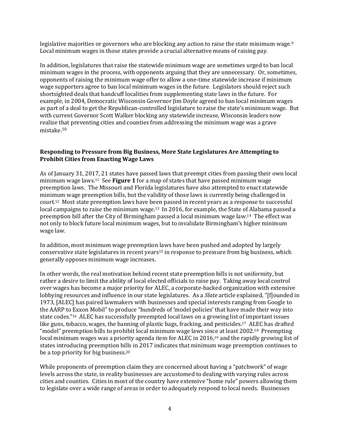legislative majorities or governors who are blocking any action to raise the state minimum wage.<sup>9</sup> Local minimum wages in those states provide a crucial alternative means of raising pay.

In addition, legislatures that raise the statewide minimum wage are sometimes urged to ban local minimum wages in the process, with opponents arguing that they are unnecessary. Or, sometimes, opponents of raising the minimum wage offer to allow a one-time statewide increase if minimum wage supporters agree to ban local minimum wages in the future. Legislators should reject such shortsighted deals that handcuff localities from supplementing state laws in the future. For example, in 2004, Democratic Wisconsin Governor Jim Doyle agreed to ban local minimum wages as part of a deal to get the Republican-controlled legislature to raise the state's minimum wage. But with current Governor Scott Walker blocking any statewide increase, Wisconsin leaders now realize that preventing cities and counties from addressing the minimum wage was a grave mistake. 10

#### **Responding to Pressure from Big Business, More State Legislatures Are Attempting to Prohibit Cities from Enacting Wage Laws**

As of January 31, 2017, 21 states have passed laws that preempt cities from passing their own local minimum wage laws.11 See **Figure 1** for a map of states that have passed minimum wage preemption laws. The Missouri and Florida legislatures have also attempted to enact statewide minimum wage preemption bills, but the validity of those laws is currently being challenged in court.12 Most state preemption laws have been passed in recent years as a response to successful local campaigns to raise the minimum wage.<sup>13</sup> In 2016, for example, the State of Alabama passed a preemption bill after the City of Birmingham passed a local minimum wage law.14 The effect was not only to block future local minimum wages, but to invalidate Birmingham's higher minimum wage law.

In addition, most minimum wage preemption laws have been pushed and adopted by largely conservative state legislatures in recent years<sup>15</sup> in response to pressure from big business, which generally opposes minimum wage increases.

In other words, the real motivation behind recent state preemption bills is not uniformity, but rather a desire to limit the ability of local elected officials to raise pay. Taking away local control over wages has become a major priority for ALEC, a corporate-backed organization with extensive lobbying resources and influence in our state legislatures. As a *Slate* article explained, "[f]ounded in 1973, [ALEC] has paired lawmakers with businesses and special interests ranging from Google to the AARP to Exxon Mobil" to produce "hundreds of 'model policies' that have made their way into state codes."16 ALEC has successfully preempted local laws on a growing list of important issues like guns, tobacco, wages, the banning of plastic bags, fracking, and pesticides.17 ALEC has drafted "model" preemption bills to prohibit local minimum wage laws since at least 2002.18 Preempting local minimum wages was a priority agenda item for ALEC in 2016,<sup>19</sup> and the rapidly growing list of states introducing preemption bills in 2017 indicates that minimum wage preemption continues to be a top priority for big business.<sup>20</sup>

While proponents of preemption claim they are concerned about having a "patchwork" of wage levels across the state, in reality businesses are accustomed to dealing with varying rules across cities and counties. Cities in most of the country have extensive "home rule" powers allowing them to legislate over a wide range of areas in order to adequately respond to local needs. Businesses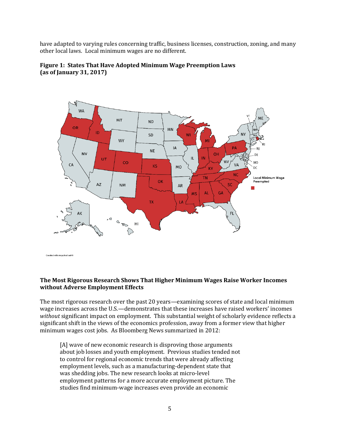have adapted to varying rules concerning traffic, business licenses, construction, zoning, and many other local laws. Local minimum wages are no different.



**Figure 1: States That Have Adopted Minimum Wage Preemption Laws (as of January 31, 2017)**

**The Most Rigorous Research Shows That Higher Minimum Wages Raise Worker Incomes without Adverse Employment Effects**

The most rigorous research over the past 20 years—examining scores of state and local minimum wage increases across the U.S.—demonstrates that these increases have raised workers' incomes *without* significant impact on employment. This substantial weight of scholarly evidence reflects a significant shift in the views of the economics profession, away from a former view that higher minimum wages cost jobs. As Bloomberg News summarized in 2012:

[A] wave of new economic research is disproving those arguments about job losses and youth employment. Previous studies tended not to control for regional economic trends that were already affecting employment levels, such as a manufacturing-dependent state that was shedding jobs. The new research looks at micro-level employment patterns for a more accurate employment picture. The studies find minimum-wage increases even provide an economic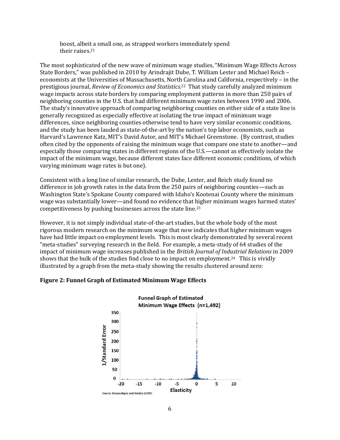boost, albeit a small one, as strapped workers immediately spend their raises.<sup>21</sup>

The most sophisticated of the new wave of minimum wage studies, "Minimum Wage Effects Across State Borders," was published in 2010 by Arindrajit Dube, T. William Lester and Michael Reich – economists at the Universities of Massachusetts, North Carolina and California, respectively – in the prestigious journal, *Review of Economics and Statistics*. <sup>22</sup> That study carefully analyzed minimum wage impacts across state borders by comparing employment patterns in more than 250 pairs of neighboring counties in the U.S. that had different minimum wage rates between 1990 and 2006. The study's innovative approach of comparing neighboring counties on either side of a state line is generally recognized as especially effective at isolating the true impact of minimum wage differences, since neighboring counties otherwise tend to have very similar economic conditions, and the study has been lauded as state-of-the-art by the nation's top labor economists, such as Harvard's Lawrence Katz, MIT's David Autor, and MIT's Michael Greenstone. (By contrast, studies often cited by the opponents of raising the minimum wage that compare one state to another—and especially those comparing states in different regions of the U.S.—cannot as effectively isolate the impact of the minimum wage, because different states face different economic conditions, of which varying minimum wage rates is but one).

Consistent with a long line of similar research, the Dube, Lester, and Reich study found no difference in job growth rates in the data from the 250 pairs of neighboring counties—such as Washington State's Spokane County compared with Idaho's Kootenai County where the minimum wage was substantially lower—and found no evidence that higher minimum wages harmed states' competitiveness by pushing businesses across the state line.<sup>23</sup>

However, it is not simply individual state-of-the-art studies, but the whole body of the most rigorous modern research on the minimum wage that now indicates that higher minimum wages have had little impact on employment levels. This is most clearly demonstrated by several recent "meta-studies" surveying research in the field. For example, a meta-study of 64 studies of the impact of minimum wage increases published in the *British Journal of Industrial Relations* in 2009 shows that the bulk of the studies find close to no impact on employment.<sup>24</sup> This is vividly illustrated by a graph from the meta-study showing the results clustered around zero:

## **Figure 2: Funnel Graph of Estimated Minimum Wage Effects**

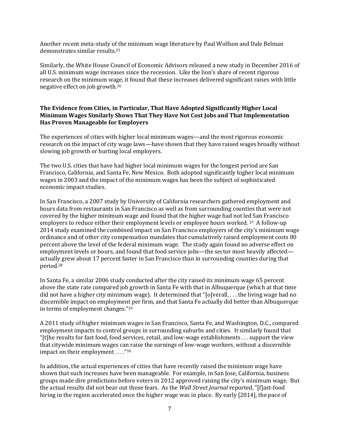Another recent meta-study of the minimum wage literature by Paul Wolfson and Dale Belman demonstrates similar results.<sup>25</sup>

Similarly, the White House Council of Economic Advisors released a new study in December 2016 of all U.S. minimum wage increases since the recession. Like the lion's share of recent rigorous research on the minimum wage, it found that these increases delivered significant raises with little negative effect on job growth.<sup>26</sup>

#### **The Evidence from Cities, in Particular, That Have Adopted Significantly Higher Local Minimum Wages Similarly Shows That They Have Not Cost Jobs and That Implementation Has Proven Manageable for Employers**

The experiences of cities with higher local minimum wages—and the most rigorous economic research on the impact of city wage laws—have shown that they have raised wages broadly without slowing job growth or hurting local employers.

The two U.S. cities that have had higher local minimum wages for the longest period are San Francisco, California, and Santa Fe, New Mexico. Both adopted significantly higher local minimum wages in 2003 and the impact of the minimum wages has been the subject of sophisticated economic impact studies.

In San Francisco, a 2007 study by University of California researchers gathered employment and hours data from restaurants in San Francisco as well as from surrounding counties that were not covered by the higher minimum wage and found that the higher wage had not led San Francisco employers to reduce either their employment levels or employee hours worked. 27 A follow-up 2014 study examined the combined impact on San Francisco employers of the city's minimum wage ordinance and of other city compensation mandates that cumulatively raised employment costs 80 percent above the level of the federal minimum wage. The study again found no adverse effect on employment levels or hours, and found that food service jobs—the sector most heavily affected actually grew about 17 percent faster in San Francisco than in surrounding counties during that period.<sup>28</sup>

In Santa Fe, a similar 2006 study conducted after the city raised its minimum wage 65 percent above the state rate compared job growth in Santa Fe with that in Albuquerque (which at that time did not have a higher city minimum wage). It determined that "[o]verall, . . . the living wage had no discernible impact on employment per firm, and that Santa Fe actually did better than Albuquerque in terms of employment changes."<sup>29</sup>

A 2011 study of higher minimum wages in San Francisco, Santa Fe, and Washington, D.C., compared employment impacts to control groups in surrounding suburbs and cities. It similarly found that "[t]he results for fast food, food services, retail, and low-wage establishments . . . support the view that citywide minimum wages can raise the earnings of low-wage workers, without a discernible impact on their employment . . . ."<sup>30</sup>

In addition, the actual experiences of cities that have recently raised the minimum wage have shown that such increases have been manageable. For example, in San Jose, California, business groups made dire predictions before voters in 2012 approved raising the city's minimum wage. But the actual results did not bear out those fears. As the *Wall Street Journal* reported, "[f]ast-food hiring in the region accelerated once the higher wage was in place. By early [2014], the pace of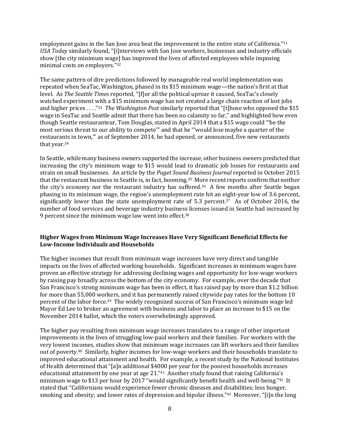employment gains in the San Jose area beat the improvement in the entire state of California."31 *USA Today* similarly found, "[i]nterviews with San Jose workers, businesses and industry officials show [the city minimum wage] has improved the lives of affected employees while imposing minimal costs on employers."<sup>32</sup>

The same pattern of dire predictions followed by manageable real world implementation was repeated when SeaTac, Washington, phased in its \$15 minimum wage—the nation's first at that level. As *The Seattle Times* reported, "[f]or all the political uproar it caused, SeaTac's closely watched experiment with a \$15 minimum wage has not created a large chain reaction of lost jobs and higher prices . . . ."<sup>33</sup> *The Washington Post* similarly reported that "[t]hose who opposed the \$15 wage in SeaTac and Seattle admit that there has been no calamity so far," and highlighted how even though Seattle restauranteur, Tom Douglas, stated in April 2014 that a \$15 wage could "'be the most serious threat to our ability to compete'" and that he "'would lose maybe a quarter of the restaurants in town,'" as of September 2014, he had opened, or announced, five new restaurants that year.<sup>34</sup>

In Seattle, while many business owners supported the increase, other business owners predicted that increasing the city's minimum wage to \$15 would lead to dramatic job losses for restaurants and strain on small businesses. An article by the *Puget Sound Business Journal* reported in October 2015 that the restaurant business in Seattle is, in fact, booming.35 More recent reports confirm that neither the city's economy nor the restaurant industry has suffered.<sup>36</sup> A few months after Seattle began phasing in its minimum wage, the region's unemployment rate hit an eight-year low of 3.6 percent, significantly lower than the state unemployment rate of 5.3 percent.<sup>37</sup> As of October 2016, the number of food services and beverage industry business licenses issued in Seattle had increased by 9 percent since the minimum wage law went into effect.<sup>38</sup>

## **Higher Wages from Minimum Wage Increases Have Very Significant Beneficial Effects for Low-Income Individuals and Households**

The higher incomes that result from minimum wage increases have very direct and tangible impacts on the lives of affected working households. Significant increases in minimum wages have proven an effective strategy for addressing declining wages and opportunity for low-wage workers by raising pay broadly across the bottom of the city economy. For example, over the decade that San Francisco's strong minimum wage has been in effect, it has raised pay by more than \$1.2 billion for more than 55,000 workers, and it has permanently raised citywide pay rates for the bottom 10 percent of the labor force.<sup>39</sup> The widely recognized success of San Francisco's minimum wage led Mayor Ed Lee to broker an agreement with business and labor to place an increase to \$15 on the November 2014 ballot, which the voters overwhelmingly approved.

The higher pay resulting from minimum wage increases translates to a range of other important improvements in the lives of struggling low-paid workers and their families. For workers with the very lowest incomes, studies show that minimum wage increases can lift workers and their families out of poverty.40 Similarly, higher incomes for low-wage workers and their households translate to improved educational attainment and health. For example, a recent study by the National Institutes of Health determined that "[a]n additional \$4000 per year for the poorest households increases educational attainment by one year at age 21."<sup>41</sup> Another study found that raising California's minimum wage to \$13 per hour by 2017 "would significantly benefit health and well-being."42 It stated that "Californians would experience fewer chronic diseases and disabilities; less hunger, smoking and obesity; and lower rates of depression and bipolar illness."43 Moreover, "[i]n the long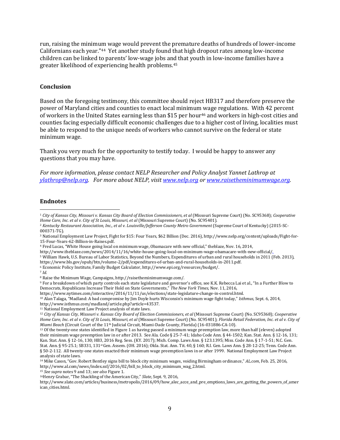run, raising the minimum wage would prevent the premature deaths of hundreds of lower-income Californians each year."44 Yet another study found that high dropout rates among low-income children can be linked to parents' low-wage jobs and that youth in low-income families have a greater likelihood of experiencing health problems.<sup>45</sup>

#### **Conclusion**

Based on the foregoing testimony, this committee should reject HB317 and therefore preserve the power of Maryland cities and counties to enact local minimum wage regulations. With 42 percent of workers in the United States earning less than \$15 per hour<sup>46</sup> and workers in high-cost cities and counties facing especially difficult economic challenges due to a higher cost of living, localities must be able to respond to the unique needs of workers who cannot survive on the federal or state minimum wage.

Thank you very much for the opportunity to testify today. I would be happy to answer any questions that you may have.

*For more information, please contact NELP Researcher and Policy Analyst Yannet Lathrop at [ylathrop@nelp.org.](mailto:ylathrop@nelp.org) For more about NELP, visi[t www.nelp.org](http://www.nelp.org/) or [www.raisetheminimumwage.org.](http://www.raisetheminimumwage.org/)* 

#### **Endnotes**

 $\overline{a}$ 

- <sup>2</sup> *Kentucky Restaurant Association, Inc., et al v. Louisville/Jefferson County Metro Government* (Supreme Court of Kentucky) (2015-SC-000371-TG).
- <sup>3</sup> National Employment Law Project, Fight for \$15: Four Years, \$62 Billion (Dec. 2016), http://www.nelp.org/content/uploads/Fight-for-15-Four-Years-62-Billion-in-Raises.pdf.
- <sup>4</sup> Fred Lucas, "White House going local on minimum wage, Obamacare with new official," theblaze, Nov. 16, 2014,
- http://www.theblaze.com/news/2014/11/16/white-house-going-local-on-minimum-wage-obamacare-with-new-official/.
- <sup>5</sup> William Hawk, U.S. Bureau of Labor Statistics, Beyond the Numbers, Expenditures of urban and rural households in 2011 (Feb. 2013),
- https://www.bls.gov/opub/btn/volume-2/pdf/expenditures-of-urban-and-rural-households-in-2011.pdf.

<sup>6</sup> Economic Policy Institute, Family Budget Calculator, http://www.epi.org/resources/budget/.

<sup>7</sup> *Id*.

<sup>8</sup> Raise the Minimum Wage, Campaigns, http://raisetheminimumwage.com/.

https://www.nytimes.com/interactive/2016/11/11/us/elections/state-legislature-change-in-control.html.

<sup>11</sup> National Employment Law Project analysis of state laws.

<sup>1</sup> *City of Kansas City, Missouri v. Kansas City Board of Election Commissioners, et al* (Missouri Supreme Court) (No. SC95368); *Cooperative Home Care, Inc. et al v. City of St Louis, Missouri, et al* (Missouri Supreme Court) (No. SC95401).

<sup>9</sup> For a breakdown of which party controls each state legislature and governor's office, see K.K. Rebecca Lai et al., "In a Further Blow to Democrats, Republicans Increase Their Hold on State Governments," *The New York Times*, Nov. 11, 2016,

<sup>10</sup> Alan Talaga, "Madland: A bad compromise by Jim Doyle hurts Wisconsin's minimum wage fight today," *Isthmus*, Sept. 6, 2014,

http://www.isthmus.com/madland/article.php?article=43537.

<sup>12</sup> *City of Kansas City, Missouri v. Kansas City Board of Election Commissioners, et al* (Missouri Supreme Court) (No. SC95368); *Cooperative Home Care, Inc. et al v. City of St Louis, Missouri, et al* (Missouri Supreme Court) (No. SC95401); *Florida Retail Federation, Inc. et al v. City of Miami Beach* (Circuit Court of the 11th Judicial Circuit, Miami-Dade County, Florida) (16-031886-CA-10).

<sup>13</sup> Of the twenty-one states identified in Figure 1 as having passed a minimum wage preemption law, more than half (eleven) adopted their minimum wage preemption law in or after 2013. See Ala. Code § 25-7-41; Idaho Code Ann. § 44-1502; Kan. Stat. Ann. § 12-16, 131; Kan. Stat. Ann. § 12-16, 130; HB3, 2016 Reg. Sess. (KY. 2017); Mich. Comp. Laws Ann. § 123.1395; Miss. Code Ann. § 17-1-51; N.C. Gen. Stat. Ann. § 95-25.1; SB331, 131st Gen. Assem. (OH. 2016); Okla. Stat. Ann. Tit. 40, § 160; R.I. Gen. Laws Ann. § 28-12-25; Tenn. Code Ann. § 50-2-112. All twenty-one states enacted their minimum wage preemption laws in or after 1999. National Employment Law Project analysis of state laws.

<sup>14</sup> Mike Cason, "Gov. Robert Bentley signs bill to block city minimum wages, voiding Birmingham ordinance," *AL.com*, Feb. 25, 2016, http://www.al.com/news/index.ssf/2016/02/bill\_to\_block\_city\_minimum\_wag\_2.html.

<sup>15</sup> *See supra* notes 9 and 13; *see also* Figure 1.

<sup>16</sup>Henry Grabar, "The Shackling of the American City," *Slate*, Sept. 9, 2016,

http://www.slate.com/articles/business/metropolis/2016/09/how\_alec\_acce\_and\_pre\_emptions\_laws\_are\_gutting\_the\_powers\_of\_amer ican\_cities.html.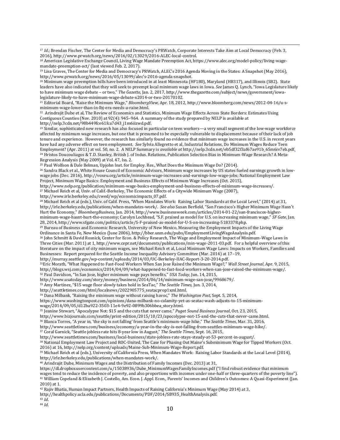<sup>17</sup> *Id*.; Brendan Fischer, The Center for Media and Democracy's PRWatch, Corporate Interests Take Aim at Local Democracy (Feb. 3, 2016), http://www.prwatch.org/news/2016/02/13029/2016-ALEC-local-control.

<sup>18</sup> American Legislative Exchange Council, Living Wage Mandate Preemption Act, https://www.alec.org/model-policy/living-wagemandate-preemption-act/ (last viewed Feb. 2, 2017).

<sup>19</sup> Lisa Graves, The Center for Media and Democracy's PRWatch, ALEC's 2016 Agenda Moving in the States: A Snapshot (May 2016), http://www.prwatch.org/news/2016/05/13099/alec's-2016-agenda-snapshot.

<sup>20</sup> Minimum wage preemption bills have been introduced in at least Minnesota (HF180), Maryland (HB317), and Illinois (SB2). State leaders have also indicated that they will seek to preempt local minimum wage laws in Iowa. *See* James Q. Lynch, "Iowa Legislature likely to have minimum wage debate – or two," *The Gazette*, Jan. 2, 2017, http://www.thegazette.com/subject/news/government/iowalegislature-likely-to-have-minimum-wage-debate-x2014-or-two-20170102.

<sup>21</sup> Editorial Board, "Raise the Minimum Wage," *BloombergView*, Apr. 18, 2012, http://www.bloomberg.com/news/2012-04-16/u-sminimum-wage-lower-than-in-lbj-era-needs-a-raise.html.

<sup>22</sup> Arindrajit Dube et al, The Review of Economics and Statistics, Minimum Wage Effects Across State Borders: Estimates Using Contiguous Counties (Nov. 2010) at 92(4): 945–964. A summary of the study prepared by NELP is available at http://nelp.3cdn.net/98b449fce61fca7d43\_i1m6iizwd.pdf.

<sup>23</sup> Similar, sophisticated new research has also focused in particular on teen workers—a very small segment of the low-wage workforce affected by minimum wage increases, but one that is presumed to be especially vulnerable to displacement because of their lack of job tenure and experience. However, the research has similarly found no evidence that minimum wage increases in the U.S. in recent years have had any adverse effect on teen employment. *See* Sylvia Allegretto et al, Industrial Relations, Do Minimum Wages Reduce Teen Employment? (Apr. 2011) at vol. 50, no. 2. A NELP Summary is *available at* http://nelp.3cdn.net/eb5df32f3af67ae91b\_65m6iv7eb.pdf. <sup>24</sup> Hristos Doucouliagos & T.D. Stanley, British J. of Indus. Relations, Publication Selection Bias in Minimum-Wage Research? A Meta-Regression Analysis (May 2009) at Vol. 47, Iss. 2.

<sup>25</sup> Paul Wolfson & Dale Belman, Upjohn Inst. for Employ. Res., What Does the Minimum Wage Do? (2014).

<sup>26</sup> Sandra Black et al., White House Council of Economic Advisors, Minimum wage increases by US states fueled earnings growth in lowwage jobs (Dec. 2016), http://voxeu.org/article/minimum-wage-increases-and-earnings-low-wage-jobs; National Employment Law Project, Minimum Wage Basics: Employment and Business Effects of Minimum Wage Increases (Oct. 2015),

http://www.nelp.org/publication/minimum-wage-basics-employment-and-business-effects-of-minimum-wage-increases/.

<sup>27</sup> Michael Reich et al, Univ. of Calif.-Berkeley, The Economic Effects of a Citywide Minimum Wage (2007),

http://www.irle.berkeley.edu/cwed/wp/economicimpacts\_07.pdf.

<sup>28</sup> Michael Reich et al (eds.), Univ. of Calif. Press, "When Mandates Work: Raising Labor Standards at the Local Level," (2014) at 31, http://irle.berkeley.edu/publications/when-mandates-work/. *See also* Susan Berfield, "San Francisco's Higher Minimum Wage Hasn't Hurt the Economy," *BloombergBusiness*, Jan. 2014, http://www.businessweek.com/articles/2014-01-22/san-franciscos-higherminimum-wage-hasnt-hurt-the-economy; Carolyn Lochhead, "S.F. praised as model for U.S. on increasing minimum wage," *SF Gate*, Jan. 28, 2014, http://www.sfgate.com/politics/article/S-F-praised-as-model-for-U-S-on-increasing-5183378.php.

<sup>29</sup> Bureau of Business and Economic Research, University of New Mexico, Measuring the Employment Impacts of the Living Wage Ordinance in Santa Fe, New Mexico (June 2006), http://bber.unm.edu/pubs/EmploymentLivingWageAnalysis.pdf.

<sup>30</sup> John Schmitt & David Rosnick, Center for Econ. & Policy Research, The Wage and Employment Impact of Minimum‐Wage Laws in Three Cities (Mar. 2011) at 1, http://www.cepr.net/documents/publications/min-wage-2011-03.pdf. For a helpful overview of this literature on the impact of city minimum wages, see Michael Reich et al, Local Minimum Wage Laws: Impacts on Workers, Families and Businesses: Report prepared for the Seattle Income Inequality Advisory Committee (Mar. 2014) at 17–19,

http://murray.seattle.gov/wp-content/uploads/2014/03/UC-Berkeley-IIAC-Report-3-20-2014.pdf.

<sup>31</sup>Eric Morath, "What Happened to Fast-Food Workers When San Jose Raised the Minimum Wage?," *Wall Street Journal*, Apr. 9, 2015, http://blogs.wsj.com/economics/2014/04/09/what-happened-to-fast-food-workers-when-san-jose-raised-the-minimum-wage/. <sup>32</sup> Paul Davidson, "In San Jose, higher minimum wage pays benefits," *USA Today*, Jun. 14, 2015,

http://www.usatoday.com/story/money/business/2014/06/14/minimum-wage-san-jose/9968679/.

<sup>33</sup> Amy Martinez, "\$15 wage floor slowly takes hold in SeaTac," *The Seattle Times*, Jun. 3, 2014,

http://seattletimes.com/html/localnews/2022905775\_seatacprop1xml.html.

<sup>34</sup> Dana Milbank, "Raising the minimum wage without raising havoc," *The Washington Post,* Sept. 5, 2014,

https://www.washingtonpost.com/opinions/dana-milbank-no-calamity-yet-as-seatac-wash-adjusts-to-15-minimum-

wage/2014/09/05/d12ba922-3503-11e4-9e92-0899b306bbea\_story.html.

<sup>35</sup> Jeanine Stewart, "Apocalypse Not: \$15 and the cuts that never came," *Puget Sound Business Journal*, Oct. 23, 2015,

http://www.bizjournals.com/seattle/print-edition/2015/10/23/apocolypse-not-15-and-the-cuts-that-never-came.html.

<sup>36</sup> Blanca Torres, "A year in, 'the sky is not falling' from Seattle's minimum-wage hike," *The Seattle Times*, Mar. 31, 2016,

http://www.seattletimes.com/business/economy/a-year-in-the-sky-is-not-falling-from-seattles-minimum-wage-hike/.

<sup>37</sup> Coral Garnick, "Seattle jobless rate hits 8-year low in August," *The Seattle Times*, Sept. 16, 2015,

http://www.seattletimes.com/business/local-business/state-jobless-rate-stays-steady-at-53-percent-in-august/.

<sup>38</sup> National Employment Law Project and ROC-United, The Case for Phasing Out Maine's Subminimum Wage for Tipped Workers (Oct. 2016) at 16, http://nelp.org/content/uploads/Maine-Sub-Minimum-Wage-Report.pdf.

<sup>39</sup> Michael Reich et al (eds.), University of California Press, When Mandates Work: Raising Labor Standards at the Local Level (2014), http://irle.berkeley.edu/publications/when-mandates-work/.

<sup>40</sup> Arindrajit Dube, Minimum Wages and the Distribution of Family Incomes (Dec. 2013) at 31,

https://dl.dropboxusercontent.com/u/15038936/Dube\_MinimumWagesFamilyIncomes.pdf ("I find robust evidence that minimum wages tend to reduce the incidence of poverty, and also proportions with incomes under one-half or three-quarters of the poverty line"). <sup>41</sup> William Copeland & Elizabeth J. Costello, Am. Econ. J. Appl. Econ., Parents' Incomes and Children's Outcomes: A Quasi-Experiment (Jan. 2010) at 1.

<sup>42</sup> Rajiv Bhatia, Human Impact Partners, Health Impacts of Raising California's Minimum Wage (May 2014) at 3,

http://healthpolicy.ucla.edu/publications/Documents/PDF/2014/SB935\_HealthAnalysis.pdf.

 $43 \tilde{Id}$ .

 $\overline{a}$ 

<sup>44</sup> *Id*.